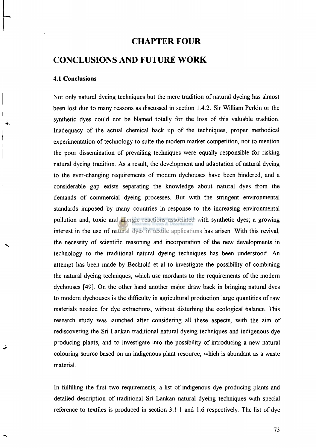## **CHAPTER FOUR**

# **CONCLUSIONS AND FUTURE WORK**

### **4.1 Conclusions**

**Not only natural dyeing techniques but the mere tradition of natural dyeing has almost been lost due to many reasons as discussed in section 1.4.2. Sir William Perkin or the synthetic dyes could not be blamed totally for the loss of this valuable tradition. Inadequacy of the actual chemical back up of the techniques, proper methodical experimentation of technology to suite the modern market competition, not to mention the poor dissemination of prevailing techniques were equally responsible for risking natural dyeing tradition. As a result, the development and adaptation of natural dyeing to the ever-changing requirements of modern dyehouses have been hindered, and a considerable gap exists separating the knowledge about natural dyes from the demands of commercial dyeing processes. But with the stringent environmental standards imposed by many countries in response to the increasing environmental pollution and, toxic and allergic reactions associated with synthetic dyes; a growing interest in the use of natural dyes in textile applications has arisen. With this revival, the necessity of scientific reasoning and incorporation of the new developments in technology to the traditional natural dyeing techniques has been understood. An attempt has been made by Bechtold et al to investigate the possibility of combining the natural dyeing techniques, which use mordants to the requirements of the modern dyehouses [49]. On the other hand another major draw back in bringing natural dyes to modern dyehouses is the difficulty in agricultural production large quantities of raw materials needed for dye extractions, without disturbing the ecological balance. This research study was launched after considering all these aspects, with the aim of rediscovering the Sri Lankan traditional natural dyeing techniques and indigenous dye producing plants, and to investigate into the possibility of introducing a new natural colouring source based on an indigenous plant resource, which is abundant as a waste material.** 

**In fulfilling the first two requirements, a list of indigenous dye producing plants and detailed description of traditional Sri Lankan natural dyeing techniques with special reference to textiles is produced in section 3.1.1 and 1.6 respectively. The list of dye**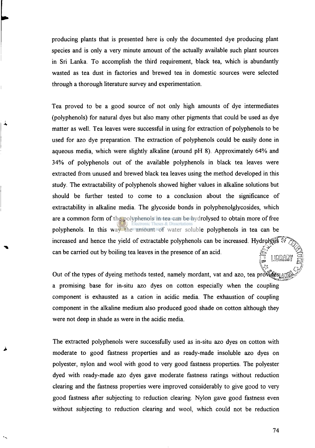**producing plants that is presented here is only the documented dye producing plant species and is only a very minute amount of the actually available such plant sources in Sri Lanka. To accomplish the third requirement, black tea, which is abundantly wasted as tea dust in factories and brewed tea in domestic sources were selected through a thorough literature survey and experimentation.** 

**Tea proved to be a good source of not only high amounts of dye intermediates (polyphenols) for natural dyes but also many other pigments that could be used as dye matter as well. Tea leaves were successful in using for extraction of polyphenols to be used for azo dye preparation. The extraction of polyphenols could be easily done in aqueous media, which were slightly alkaline (around pH 8). Approximately 64% and 34% of polyphenols out of the available polyphenols in black tea leaves were extracted from unused and brewed black tea leaves using the method developed in this study. The extractability of polyphenols showed higher values in alkaline solutions but should be further tested to come to a conclusion about the significance of extractability in alkaline media. The glycoside bonds in polyphenolglycosides, which are a common form of the polyphenols in tea can be hydrolysed to obtain more of free polyphenols. In this way the amount of water soluble polyphenols in tea can be**  increased and hence the yield of extractable polyphenols can be increased. Hydrolysis UP can be carried out by boiling tea leaves in the presence of an acid. LIBRARY

Out of the types of dyeing methods tested, namely mordant, vat and azo, tea provides  $\mathbb{R}$ **a promising base for in-situ azo dyes on cotton especially when the coupling component is exhausted as a cation in acidic media. The exhaustion of coupling component in the alkaline medium also produced good shade on cotton although they were not deep in shade as were in the acidic media.** 

**The extracted polyphenols were successfully used as in-situ azo dyes on cotton with moderate to good fastness properties and as ready-made insoluble azo dyes on polyester, nylon and wool with good to very good fastness properties. The polyester dyed with ready-made azo dyes gave moderate fastness ratings without reduction clearing and the fastness properties were improved considerably to give good to very good fastness after subjecting to reduction clearing. Nylon gave good fastness even without subjecting to reduction clearing and wool, which could not be reduction** 

**74**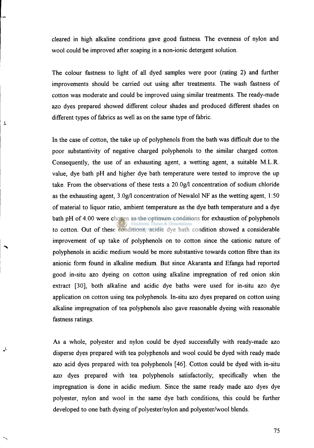**cleared in high alkaline conditions gave good fastness. The evenness of nylon and wool could be improved after soaping in a non-ionic detergent solution.** 

**The colour fastness to light of all dyed samples were poor (rating 2) and further improvements should be carried out using after treatments. The wash fastness of cotton was moderate and could be improved using similar treatments. The ready-made azo dyes prepared showed different colour shades and produced different shades on different types of fabrics as well as on the same type of fabric.** 

 $\overline{1}$ 

 $\cdot$ 

**In the case of cotton, the take up of polyphenols from the bath was difficult due to the poor substantivity of negative charged polyphenols to the similar charged cotton. Consequently, the use of an exhausting agent, a wetting agent, a suitable M.L.R. value, dye bath pH and higher dye bath temperature were tested to improve the up take. From the observations of these tests a 20.0g/l concentration of sodium chloride as the exhausting agent, 3.0g/l concentration of Newalol NF as the wetting agent, 1:50 of material to liquor ratio, ambient temperature as the dye bath temperature and a dye bath pH of 4.00 were chosen as the optimum conditions for exhaustion of polyphenols to cotton. Out of these conditions, acidic dye bath condition showed a considerable improvement of up take of polyphenols on to cotton since the cationic nature of polyphenols in acidic medium would be more substantive towards cotton fibre than its anionic form found in alkaline medium. But since Akaranta and Efanga had reported good in-situ azo dyeing on cotton using alkaline impregnation of red onion skin extract [30], both alkaline and acidic dye baths were used for in-situ azo dye application on cotton using tea polyphenols. In-situ azo dyes prepared on cotton using alkaline impregnation of tea polyphenols also gave reasonable dyeing with reasonable fastness ratings.** 

**As a whole, polyester and nylon could be dyed successfully with ready-made azo disperse dyes prepared with tea polyphenols and wool could be dyed with ready made azo acid dyes prepared with tea polyphenols [46]. Cotton could be dyed with in-situ azo dyes prepared with tea polyphenols satisfactorily; specifically when the impregnation is done in acidic medium. Since the same ready made azo dyes dye polyester, nylon and wool in the same dye bath conditions, this could be further developed to one bath dyeing of polyester/nylon and polyester/wool blends.** 

**75**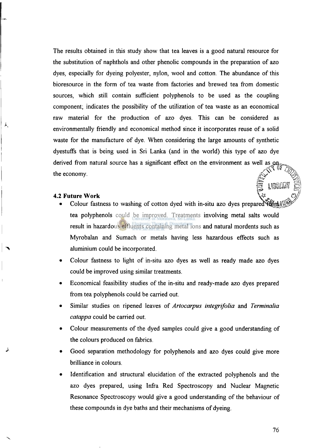**The results obtained in this study show that tea leaves is a good natural resource for the substitution of naphthols and other phenolic compounds in the preparation of azo dyes, especially for dyeing polyester, nylon, wool and cotton. The abundance of this bioresource in the form of tea waste from factories and brewed tea from domestic sources, which still contain sufficient polyphenols to be used as the coupling component; indicates the possibility of the utilization of tea waste as an economical raw material for the production of azo dyes. This can be considered as environmentally friendly and economical method since it incorporates reuse of a solid waste for the manufacture of dye. When considering the large amounts of synthetic dyestuffs that is being used in Sri Lanka (and in the world) this type of azo dye**  derived from natural source has a significant effect on the environment as well as on **the economy.** 

#### **4.2 Future Work**

 $\mathbf{y}'$ 

- Colour fastness to washing of cotton dyed with in-situ azo dyes prepared  $\frac{1}{2}$ **tea polyphenols could be improved. Treatments involving metal salts would result in hazardous effluents containing metal ions and natural mordents such as Myrobalan and Sumach or metals having less hazardous effects such as aluminium could be incorporated.**
- **Colour fastness to light of in-situ azo dyes as well as ready made azo dyes could be improved using similar treatments.**
- **Economical feasibility studies of the in-situ and ready-made azo dyes prepared from tea polyphenols could be carried out.**
- **Similar studies on ripened leaves of** *Artocarpus integrifolia* **and** *Terminalia catappa* **could be carried out.**
- **Colour measurements of the dyed samples could give a good understanding of the colours produced on fabrics.**
- **Good separation methodology for polyphenols and azo dyes could give more brilliance in colours.**
- **Identification and structural elucidation of the extracted polyphenols and the azo dyes prepared, using Infra Red Spectroscopy and Nuclear Magnetic Resonance Spectroscopy would give a good understanding of the behaviour of these compounds in dye baths and their mechanisms of dyeing.**

**76** 

LIBRARY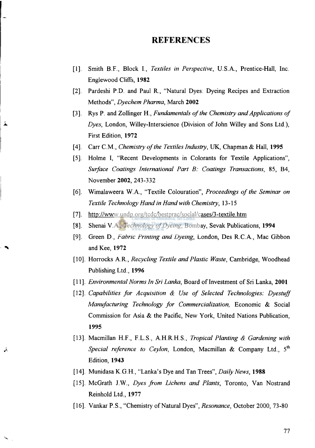### **REFERENCES**

- **[1]. Smith B.F., Block I.,** *Textiles in Perspective,* **U.S.A., Prentice-Hall, Inc. Englewood Cliffs, 1982**
- **[2]. Pardeshi P.D. and Paul R., "Natural Dyes: Dyeing Recipes and Extraction Methods",** *Dyechem Pharma,* **March 2002**
- **[3]. Rys P. and Zollinger H.,** *Fundamentals of the Chemistry and Applications of Dyes,* **London, Willey-Interscience (Division of John Willey and Sons Ltd.), First Edition, 1972**
- **[4]. Carr CM ,** *Chemistry of the Textiles Industry,* **UK, Chapman & Hall, 1995**
- **[5]. Holme I, "Recent Developments in Colorants for Textile Applications",**  *Surface Coatings International Part B: Coatings Transactions,* **85, B4, November 2002, 243-332**
- **[6]. Wimalaweera W.A., "Textile Colouration",** *Proceedings of the Seminar on Textile Technology Hand in Hand with Chemistry,* **13-15**
- [7]. http://www.undp.org/tcdc/bestprac/social/cases/3-textile.htm
- **[8], Shenai V.A.,** *Technology of Dyeing,* **Bombay, Sevak Publications, 1994**
- **[9]. Green D.,** *Fabric Printing and Dyeing,* **London, Des R.C.A., Mac Gibbon and Kee, 1972**
- **[10]. Horrocks A.R.,** *Recycling Textile and Plastic Waste,* **Cambridge, Woodhead Publishing Ltd., 1996**
- **[11].** *Environmental Norms In Sri Lanka,* **Board of Investment of Sri Lanka, 2001**
- **[12].** *Capabilities for Acquisition & Use of Selected Technologies: Dyestuff Manufacturing Technology for Commercialization,* **Economic & Social Commission for Asia & the Pacific, New York, United Nations Publication, 1995**
- **[13]. Macmillan H.F., F.L.S., A.H.R.H.S.,** *Tropical Planting & Gardening with Special reference to Ceylon,* London, Macmillan & Company Ltd., 5<sup>th</sup> **Edition, 1943**
- **[14]. Munidasa K.G.H., "Lanka's Dye and Tan Trees",** *Daily News,* **1988**

Υ

- **[15]. McGrath J.W.,** *Dyes from Lichens and Plants,* **Toronto, Van Nostrand Reinhold Ltd., 1977**
- **[16]. Vankar P.S., "Chemistry of Natural Dyes",** *Resonance,* **October 2000, 73-80**

**77**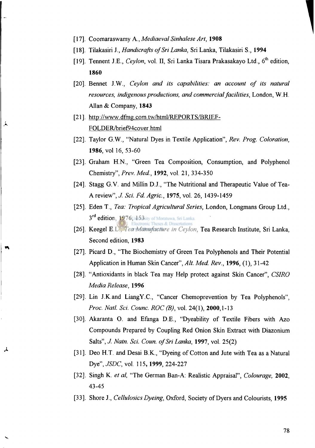- **. Coomaraswamy A.,** *Mediaeval Sinhalese Art,* **1908**
- **. Tilakasiri J.,** *Handicrafts of Sri Lanka,* **Sri Lanka, Tilakasiri S., 1994**
- **. Tennent J.E.,** *Ceylon,* **vol. II, Sri Lanka Tisara Prakasakayo Ltd., 6<sup>t</sup> <sup>h</sup> edition, 1860**
- **. Bennet J.W.,** *Ceylon and its capabilities: an account of its natural resources, indigenous productions, and commercial facilities,* **London, W.H. Allan & Company, 1843**
- [21]. http://www.dfmg.com.tw/html/REPORTS/BRIEF-**FOLDER/brief94cover.html**

Á.

- **. Taylor G.W., "Natural Dyes in Textile Application",** *Rev. Prog. Coloration,*  **1986, vol 16, 53-60**
- **. Graham H.N., "Green Tea Composition, Consumption, and Polyphenol Chemistry",** *Prev. Med,* **1992, vol. 21, 334-350**
- **. Stagg G.V. and Millin D.J., "The Nutritional and Therapeutic Value of Tea-A review",** *J. Sci. Fd. Agric,* **1975, vol. 26, 1439-1459**
- **. Eden T.,** *Tea: Tropical Agricultural Series,* **London, Longmans Group Ltd., 3 r d edition, 1976, 153**
- **. Keegel E.L.,** *Tea Manufacture in Ceylon,* **Tea Research Institute, Sri Lanka, Second edition, 1983**
- **. Picard D., "The Biochemistry** of **Green Tea Polyphenols and Their Potential Application in Human Skin Cancer",** *Alt. Med. Rev.,* **1996, (1), 31-42**
- **. "Antioxidants in black Tea may Help protect against Skin Cancer",** *CSIRO Media Release,* **1996**
- **. Lin J.K.and LiangY.C, "Cancer Chemoprevention by Tea Polyphenols",**  *Proc. Natl. Sci. Counc. ROC (B),* **vol. 24(1), 2000,1-13**
- **. Akaranta O. and Efanga D.E., "Dyeability of Textile Fibers with Azo Compounds Prepared by Coupling Red Onion Skin Extract with Diazonium Salts",** *J. Natn. Sci. Coun. of Sri Lanka,* **1997, vol. 25(2)**
- **. Deo H.T. and Desai B.K., "Dyeing of Cotton and Jute with Tea as a Natural Dye",** *JSDC,* **vol. 115, 1999, 224-227**
- **. Singh K.** *et al,* **"The German Ban-A: Realistic Appraisal",** *Colourage,* **2002, 43-45**
- **. Shore J.,** *Cellulosics Dyeing,* **Oxford, Society of Dyers and Colourists, 1995**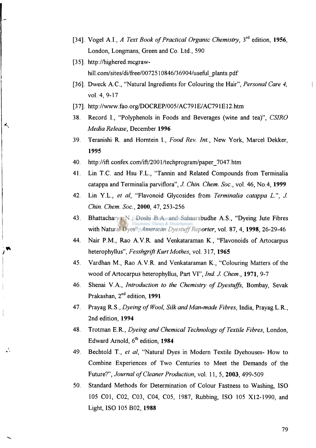- **[34], Vogel A.I.,** *A Text Book of Practical Organic Chemistry,* **3<sup>r</sup> <sup>d</sup> edition, 1956, London, Longmans, Green and Co. Ltd., 590**
- **[35]. [http://highered.mcgraw](http://highered.mcgraw-)[hill.com/sites/di/free/0072510](http://hill.com/sites/di/free/00725)846/36904/useful\_plants.pdf**
- **[36], Dweck AC , "Natural Ingredients for Colouring the Hair",** *Personal Care 4,*  **vol. 4, 9-17**
- [37]. http://www.fao.org/DOCREP/005/AC791E/AC791E12.htm
- **38. Record I., "Polyphenols in Foods and Beverages (wine and tea)",** *CSIRO Media Release,* **December 1996**
- **39. Teranishi R. and Horntein I.,** *Food Rev. Int.,* **New York, Marcel Dekker, 1995**
- **40. [http://in.confex.com/ift/2001](http://in.confex.com/ift/200) /techprogram/paper\_7047. htm**
- **41. Lin T.C. and Hsu F.L., "Tannin and Related Compounds from Terminalia catappa and Terminalia parviflora",** *J. Chin. Chem. Soc,* **vol. 46, No.4, 1999**
- **42. Lin Y.L.,** *et al,* **"Flavonoid Glycosides from** *Terminalia catappa L", J. Chin. Chem. Soc,* **2000, 47, 253-256**
- **43. Bhattacharya N., Doshi B.A. and Sahasrabudhe A.S., "Dyeing Jute Fibres with Natural Dyes",** *American Dyestuff Reporter,* **vol. 87, 4, 1998, 26-29-46**
- **44. Nair P.M., Rao A.V.R. and Venkataraman K., "Flavonoids of Artocarpus heterophyllus",** *Fesshgrift Kurt Mothes,* **vol. 317, 1965**
- **45. Vardhan M., Rao A.V.R. and Venkataraman K., "Colouring Matters of the wood of Artocarpus heterophyllus, Part VI",** *Ind. J. Chem.,* **1971, 9-7**
- **46. Shenai V.A.,** *Introduction to the Chemistry of Dyestuffs,* **Bombay, Sevak Prakashan, 2 <sup>n</sup> <sup>d</sup> edition, 1991**
- **47. Prayag R.S.,** *Dyeing of Wool, Silk and Man-made Fibres,* **India, Prayag L.R., 2nd edition, 1994**
- **48. Trotman E.R.,** *Dyeing and Chemical Technology of Textile Fibres,* **London, Edward Arnold, 6<sup>t</sup> <sup>h</sup> edition, 1984**
- **49. Bechtold T.,** *et al,* **"Natural Dyes in Modern Textile Dyehouses- How to Combine Experiences of Two Centuries to Meet the Demands of the Future?",** *Journal of Cleaner Production,* **vol. 11,5, 2003, 499-509**
- **50. Standard Methods for Determination of Colour Fastness to Washing, ISO 105 C01, C02, C03, C04, C05, 1987, Rubbing, ISO 105 X12-1990, and Light, ISO 105 B02, 1988**